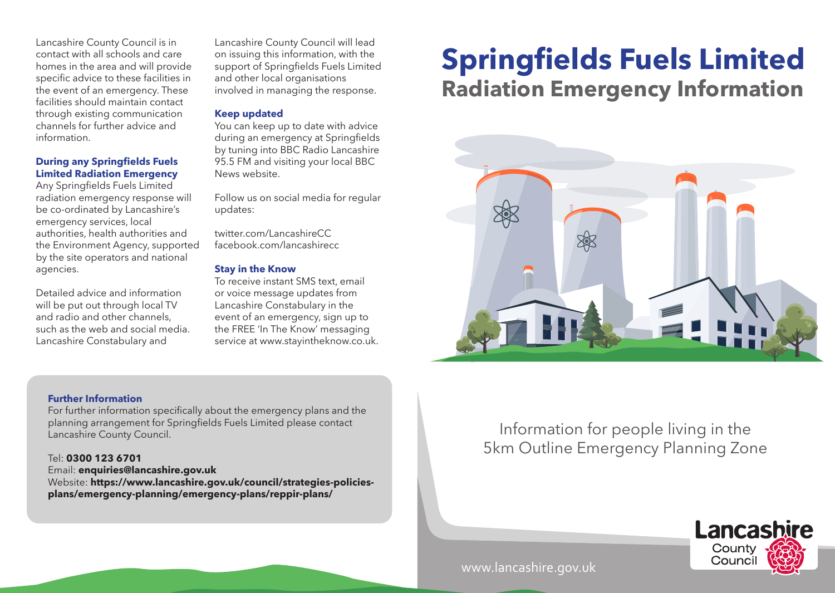contact with all schools and care homes in the area and will provide specific advice to these facilities in the event of an emergency. These facilities should maintain contact through existing communication channels for further advice and information.

#### **During any Springfields Fuels Limited Radiation Emergency**

Any Springfields Fuels Limited radiation emergency response will be co-ordinated by Lancashire's emergency services, local authorities, health authorities and the Environment Agency, supported by the site operators and national agencies.

Detailed advice and information will be put out through local TV and radio and other channels, such as the web and social media. Lancashire Constabulary and

Lancashire County Council will lead on issuing this information, with the support of Springfields Fuels Limited and other local organisations involved in managing the response.

#### **Keep updated**

You can keep up to date with advice during an emergency at Springfields by tuning into BBC Radio Lancashire 95.5 FM and visiting your local BBC News website.

Follow us on social media for regular updates:

twitter.com/LancashireCC facebook.com/lancashirecc

### **Stay in the Know**

To receive instant SMS text, email or voice message updates from Lancashire Constabulary in the event of an emergency, sign up to the FREE 'In The Know' messaging service at www.stayintheknow.co.uk.

**Further Information** 

For further information specifically about the emergency plans and the planning arrangement for Springfields Fuels Limited please contact Lancashire County Council.

#### Tel: **0300 123 6701**

Email: **enquiries@lancashire.gov.uk** 

Website: **https://www.lancashire.gov.uk/council/strategies-policiesplans/emergency-planning/emergency-plans/reppir-plans/** 

# **Radiation Emergency Information** Lancashire County Council is in Lancashire County Council will lead<br>
contact with all schools and care on issuing this information, with the<br>
homes in the area and will provide support of Springfields Fuels Limited **Spring**



## Information for people living in the 5km Outline Emergency Planning Zone



www.lancashire.gov.uk